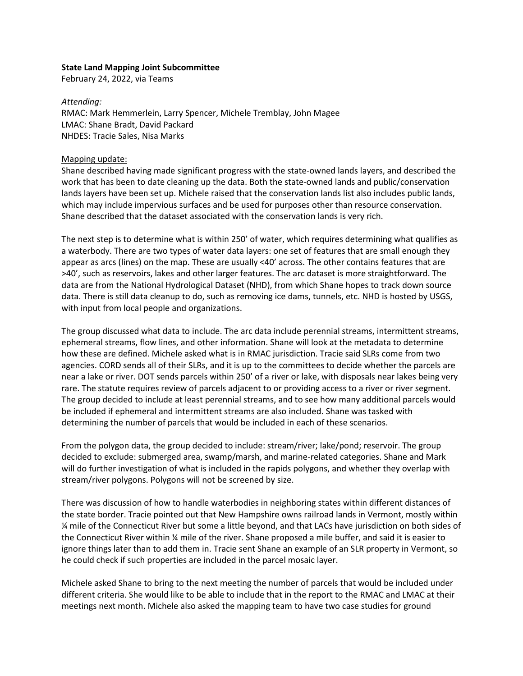#### **State Land Mapping Joint Subcommittee**

February 24, 2022, via Teams

#### *Attending:*

RMAC: Mark Hemmerlein, Larry Spencer, Michele Tremblay, John Magee LMAC: Shane Bradt, David Packard NHDES: Tracie Sales, Nisa Marks

### Mapping update:

Shane described having made significant progress with the state-owned lands layers, and described the work that has been to date cleaning up the data. Both the state-owned lands and public/conservation lands layers have been set up. Michele raised that the conservation lands list also includes public lands, which may include impervious surfaces and be used for purposes other than resource conservation. Shane described that the dataset associated with the conservation lands is very rich.

The next step is to determine what is within 250' of water, which requires determining what qualifies as a waterbody. There are two types of water data layers: one set of features that are small enough they appear as arcs (lines) on the map. These are usually <40' across. The other contains features that are >40', such as reservoirs, lakes and other larger features. The arc dataset is more straightforward. The data are from the National Hydrological Dataset (NHD), from which Shane hopes to track down source data. There is still data cleanup to do, such as removing ice dams, tunnels, etc. NHD is hosted by USGS, with input from local people and organizations.

The group discussed what data to include. The arc data include perennial streams, intermittent streams, ephemeral streams, flow lines, and other information. Shane will look at the metadata to determine how these are defined. Michele asked what is in RMAC jurisdiction. Tracie said SLRs come from two agencies. CORD sends all of their SLRs, and it is up to the committees to decide whether the parcels are near a lake or river. DOT sends parcels within 250' of a river or lake, with disposals near lakes being very rare. The statute requires review of parcels adjacent to or providing access to a river or river segment. The group decided to include at least perennial streams, and to see how many additional parcels would be included if ephemeral and intermittent streams are also included. Shane was tasked with determining the number of parcels that would be included in each of these scenarios.

From the polygon data, the group decided to include: stream/river; lake/pond; reservoir. The group decided to exclude: submerged area, swamp/marsh, and marine-related categories. Shane and Mark will do further investigation of what is included in the rapids polygons, and whether they overlap with stream/river polygons. Polygons will not be screened by size.

There was discussion of how to handle waterbodies in neighboring states within different distances of the state border. Tracie pointed out that New Hampshire owns railroad lands in Vermont, mostly within ¼ mile of the Connecticut River but some a little beyond, and that LACs have jurisdiction on both sides of the Connecticut River within ¼ mile of the river. Shane proposed a mile buffer, and said it is easier to ignore things later than to add them in. Tracie sent Shane an example of an SLR property in Vermont, so he could check if such properties are included in the parcel mosaic layer.

Michele asked Shane to bring to the next meeting the number of parcels that would be included under different criteria. She would like to be able to include that in the report to the RMAC and LMAC at their meetings next month. Michele also asked the mapping team to have two case studies for ground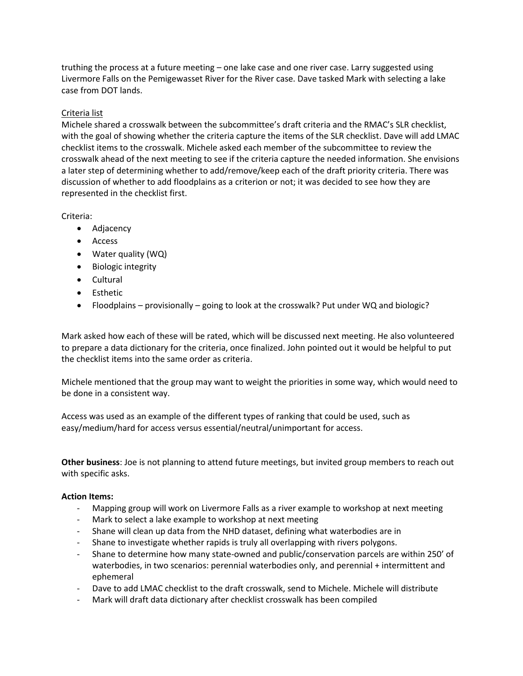truthing the process at a future meeting – one lake case and one river case. Larry suggested using Livermore Falls on the Pemigewasset River for the River case. Dave tasked Mark with selecting a lake case from DOT lands.

# Criteria list

Michele shared a crosswalk between the subcommittee's draft criteria and the RMAC's SLR checklist, with the goal of showing whether the criteria capture the items of the SLR checklist. Dave will add LMAC checklist items to the crosswalk. Michele asked each member of the subcommittee to review the crosswalk ahead of the next meeting to see if the criteria capture the needed information. She envisions a later step of determining whether to add/remove/keep each of the draft priority criteria. There was discussion of whether to add floodplains as a criterion or not; it was decided to see how they are represented in the checklist first.

## Criteria:

- Adjacency
- Access
- Water quality (WQ)
- Biologic integrity
- Cultural
- Esthetic
- Floodplains provisionally going to look at the crosswalk? Put under WQ and biologic?

Mark asked how each of these will be rated, which will be discussed next meeting. He also volunteered to prepare a data dictionary for the criteria, once finalized. John pointed out it would be helpful to put the checklist items into the same order as criteria.

Michele mentioned that the group may want to weight the priorities in some way, which would need to be done in a consistent way.

Access was used as an example of the different types of ranking that could be used, such as easy/medium/hard for access versus essential/neutral/unimportant for access.

**Other business**: Joe is not planning to attend future meetings, but invited group members to reach out with specific asks.

#### **Action Items:**

- Mapping group will work on Livermore Falls as a river example to workshop at next meeting
- Mark to select a lake example to workshop at next meeting
- Shane will clean up data from the NHD dataset, defining what waterbodies are in
- Shane to investigate whether rapids is truly all overlapping with rivers polygons.
- Shane to determine how many state-owned and public/conservation parcels are within 250' of waterbodies, in two scenarios: perennial waterbodies only, and perennial + intermittent and ephemeral
- Dave to add LMAC checklist to the draft crosswalk, send to Michele. Michele will distribute
- Mark will draft data dictionary after checklist crosswalk has been compiled